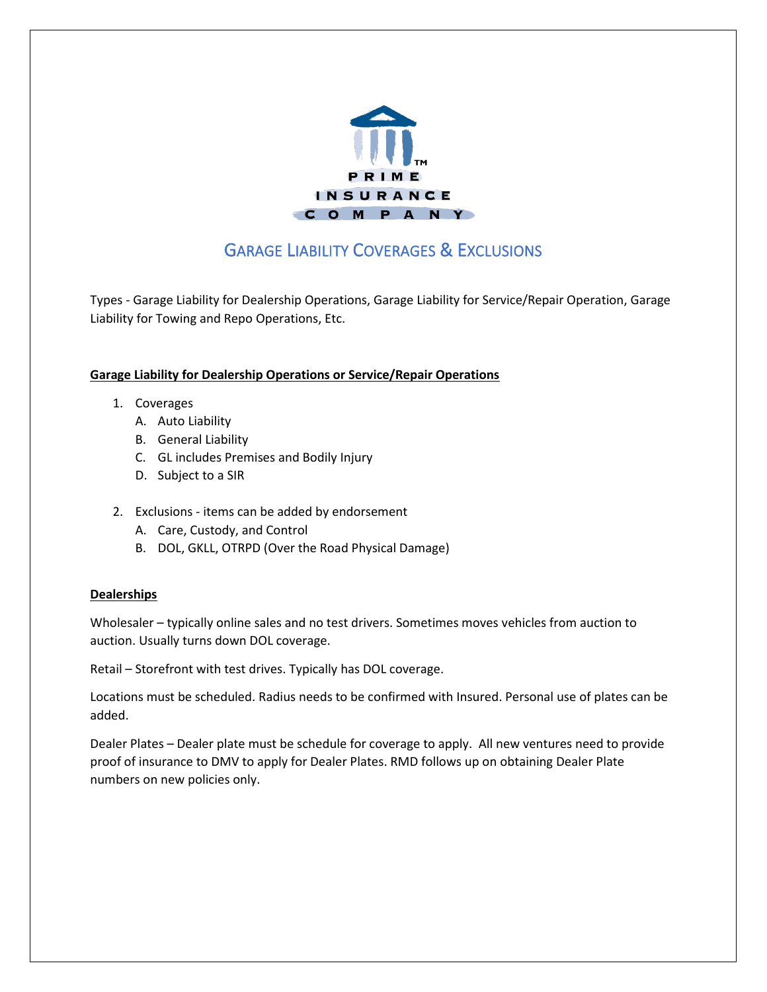

# GARAGE LIABILITY COVERAGES & EXCLUSIONS

Types - Garage Liability for Dealership Operations, Garage Liability for Service/Repair Operation, Garage Liability for Towing and Repo Operations, Etc.

# **Garage Liability for Dealership Operations or Service/Repair Operations**

- 1. Coverages
	- A. Auto Liability
	- B. General Liability
	- C. GL includes Premises and Bodily Injury
	- D. Subject to a SIR
- 2. Exclusions items can be added by endorsement
	- A. Care, Custody, and Control
	- B. DOL, GKLL, OTRPD (Over the Road Physical Damage)

# **Dealerships**

Wholesaler – typically online sales and no test drivers. Sometimes moves vehicles from auction to auction. Usually turns down DOL coverage.

Retail – Storefront with test drives. Typically has DOL coverage.

Locations must be scheduled. Radius needs to be confirmed with Insured. Personal use of plates can be added.

Dealer Plates – Dealer plate must be schedule for coverage to apply. All new ventures need to provide proof of insurance to DMV to apply for Dealer Plates. RMD follows up on obtaining Dealer Plate numbers on new policies only.